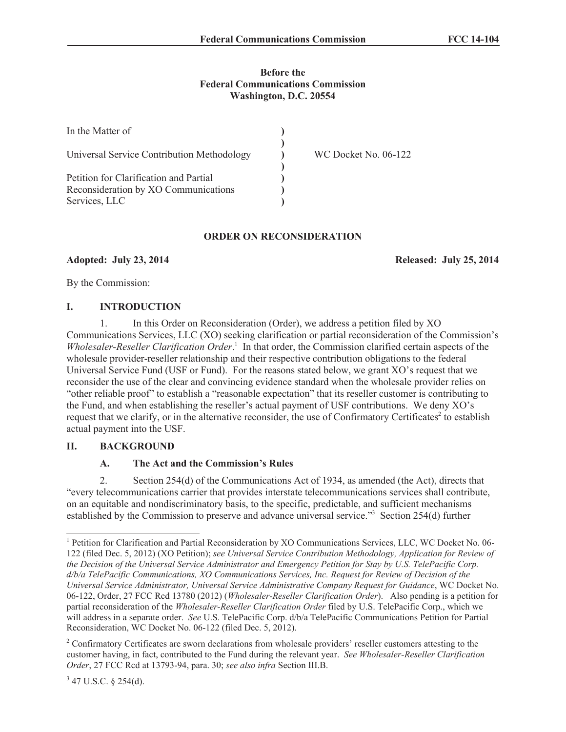### **Before the Federal Communications Commission Washington, D.C. 20554**

| In the Matter of                           |                             |
|--------------------------------------------|-----------------------------|
| Universal Service Contribution Methodology | <b>WC Docket No. 06-122</b> |
| Petition for Clarification and Partial     |                             |
| Reconsideration by XO Communications       |                             |
| Services, LLC                              |                             |

## **ORDER ON RECONSIDERATION**

**Adopted: July 23, 2014 Released: July 25, 2014**

By the Commission:

### **I. INTRODUCTION**

1. In this Order on Reconsideration (Order), we address a petition filed by XO Communications Services, LLC (XO) seeking clarification or partial reconsideration of the Commission's *Wholesaler-Reseller Clarification Order*. 1 In that order, the Commission clarified certain aspects of the wholesale provider-reseller relationship and their respective contribution obligations to the federal Universal Service Fund (USF or Fund). For the reasons stated below, we grant XO's request that we reconsider the use of the clear and convincing evidence standard when the wholesale provider relies on "other reliable proof" to establish a "reasonable expectation" that its reseller customer is contributing to the Fund, and when establishing the reseller's actual payment of USF contributions. We deny XO's request that we clarify, or in the alternative reconsider, the use of Confirmatory Certificates<sup>2</sup> to establish actual payment into the USF.

### **II. BACKGROUND**

# **A. The Act and the Commission's Rules**

2. Section 254(d) of the Communications Act of 1934, as amended (the Act), directs that "every telecommunications carrier that provides interstate telecommunications services shall contribute, on an equitable and nondiscriminatory basis, to the specific, predictable, and sufficient mechanisms established by the Commission to preserve and advance universal service."<sup>3</sup> Section 254(d) further

<sup>&</sup>lt;sup>1</sup> Petition for Clarification and Partial Reconsideration by XO Communications Services, LLC, WC Docket No. 06-122 (filed Dec. 5, 2012) (XO Petition); *see Universal Service Contribution Methodology, Application for Review of the Decision of the Universal Service Administrator and Emergency Petition for Stay by U.S. TelePacific Corp. d/b/a TelePacific Communications, XO Communications Services, Inc. Request for Review of Decision of the Universal Service Administrator, Universal Service Administrative Company Request for Guidance*, WC Docket No. 06-122, Order, 27 FCC Rcd 13780 (2012) (*Wholesaler-Reseller Clarification Order*). Also pending is a petition for partial reconsideration of the *Wholesaler-Reseller Clarification Order* filed by U.S. TelePacific Corp., which we will address in a separate order. *See* U.S. TelePacific Corp. d/b/a TelePacific Communications Petition for Partial Reconsideration, WC Docket No. 06-122 (filed Dec. 5, 2012).

<sup>&</sup>lt;sup>2</sup> Confirmatory Certificates are sworn declarations from wholesale providers' reseller customers attesting to the customer having, in fact, contributed to the Fund during the relevant year. *See Wholesaler-Reseller Clarification Order*, 27 FCC Rcd at 13793-94, para. 30; *see also infra* Section III.B.

 $3$  47 U.S.C. § 254(d).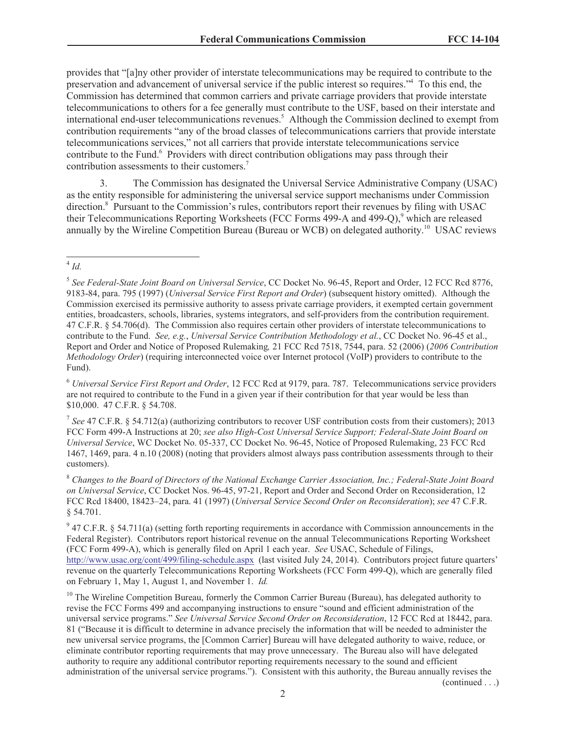provides that "[a]ny other provider of interstate telecommunications may be required to contribute to the preservation and advancement of universal service if the public interest so requires."<sup>4</sup> To this end, the Commission has determined that common carriers and private carriage providers that provide interstate telecommunications to others for a fee generally must contribute to the USF, based on their interstate and international end-user telecommunications revenues.<sup>5</sup> Although the Commission declined to exempt from contribution requirements "any of the broad classes of telecommunications carriers that provide interstate telecommunications services," not all carriers that provide interstate telecommunications service contribute to the Fund.<sup>6</sup> Providers with direct contribution obligations may pass through their contribution assessments to their customers.<sup>7</sup>

3. The Commission has designated the Universal Service Administrative Company (USAC) as the entity responsible for administering the universal service support mechanisms under Commission direction.<sup>8</sup> Pursuant to the Commission's rules, contributors report their revenues by filing with USAC their Telecommunications Reporting Worksheets (FCC Forms 499-A and 499-Q),<sup>9</sup> which are released annually by the Wireline Competition Bureau (Bureau or WCB) on delegated authority.<sup>10</sup> USAC reviews

<sup>6</sup> *Universal Service First Report and Order*, 12 FCC Rcd at 9179, para. 787. Telecommunications service providers are not required to contribute to the Fund in a given year if their contribution for that year would be less than \$10,000. 47 C.F.R. § 54.708.

7 *See* 47 C.F.R. § 54.712(a) (authorizing contributors to recover USF contribution costs from their customers); 2013 FCC Form 499-A Instructions at 20; *see also High-Cost Universal Service Support; Federal-State Joint Board on Universal Service*, WC Docket No. 05-337, CC Docket No. 96-45, Notice of Proposed Rulemaking, 23 FCC Rcd 1467, 1469, para. 4 n.10 (2008) (noting that providers almost always pass contribution assessments through to their customers).

<sup>8</sup> *Changes to the Board of Directors of the National Exchange Carrier Association, Inc.; Federal-State Joint Board on Universal Service*, CC Docket Nos. 96-45, 97-21, Report and Order and Second Order on Reconsideration, 12 FCC Rcd 18400, 18423–24, para. 41 (1997) (*Universal Service Second Order on Reconsideration*); *see* 47 C.F.R. § 54.701.

 $9$  47 C.F.R. § 54.711(a) (setting forth reporting requirements in accordance with Commission announcements in the Federal Register). Contributors report historical revenue on the annual Telecommunications Reporting Worksheet (FCC Form 499-A), which is generally filed on April 1 each year. *See* USAC, Schedule of Filings, http://www.usac.org/cont/499/filing-schedule.aspx (last visited July 24, 2014). Contributors project future quarters' revenue on the quarterly Telecommunications Reporting Worksheets (FCC Form 499-Q), which are generally filed on February 1, May 1, August 1, and November 1. *Id.*

 $10$  The Wireline Competition Bureau, formerly the Common Carrier Bureau (Bureau), has delegated authority to revise the FCC Forms 499 and accompanying instructions to ensure "sound and efficient administration of the universal service programs." *See Universal Service Second Order on Reconsideration*, 12 FCC Rcd at 18442, para. 81 ("Because it is difficult to determine in advance precisely the information that will be needed to administer the new universal service programs, the [Common Carrier] Bureau will have delegated authority to waive, reduce, or eliminate contributor reporting requirements that may prove unnecessary. The Bureau also will have delegated authority to require any additional contributor reporting requirements necessary to the sound and efficient administration of the universal service programs."). Consistent with this authority, the Bureau annually revises the

(continued . . .)

<sup>4</sup> *Id.*

<sup>5</sup> *See Federal-State Joint Board on Universal Service*, CC Docket No. 96-45, Report and Order, 12 FCC Rcd 8776, 9183-84, para. 795 (1997) (*Universal Service First Report and Order*) (subsequent history omitted). Although the Commission exercised its permissive authority to assess private carriage providers, it exempted certain government entities, broadcasters, schools, libraries, systems integrators, and self-providers from the contribution requirement. 47 C.F.R. § 54.706(d). The Commission also requires certain other providers of interstate telecommunications to contribute to the Fund. *See, e.g.*, *Universal Service Contribution Methodology et al.*, CC Docket No. 96-45 et al., Report and Order and Notice of Proposed Rulemaking*,* 21 FCC Rcd 7518, 7544, para. 52 (2006) (*2006 Contribution Methodology Order*) (requiring interconnected voice over Internet protocol (VoIP) providers to contribute to the Fund).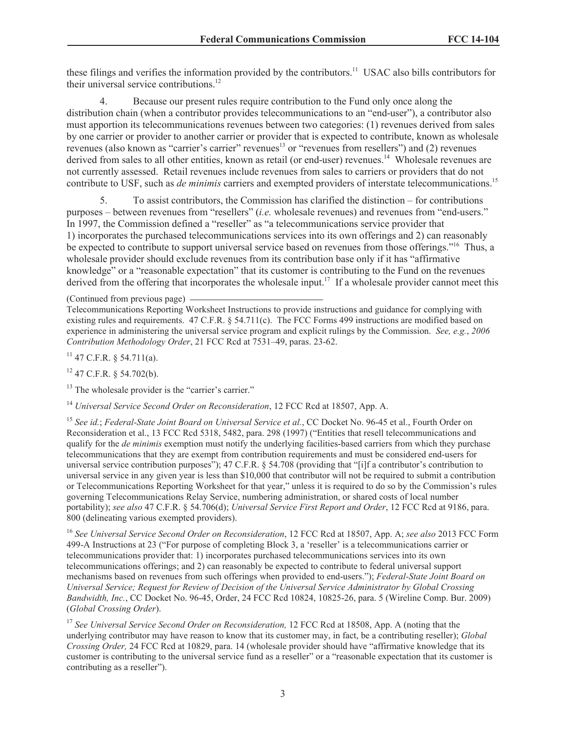these filings and verifies the information provided by the contributors.<sup>11</sup> USAC also bills contributors for their universal service contributions.<sup>12</sup>

4. Because our present rules require contribution to the Fund only once along the distribution chain (when a contributor provides telecommunications to an "end-user"), a contributor also must apportion its telecommunications revenues between two categories: (1) revenues derived from sales by one carrier or provider to another carrier or provider that is expected to contribute, known as wholesale revenues (also known as "carrier's carrier" revenues<sup>13</sup> or "revenues from resellers") and (2) revenues derived from sales to all other entities, known as retail (or end-user) revenues.<sup>14</sup> Wholesale revenues are not currently assessed. Retail revenues include revenues from sales to carriers or providers that do not contribute to USF, such as *de minimis* carriers and exempted providers of interstate telecommunications.<sup>15</sup>

5. To assist contributors, the Commission has clarified the distinction – for contributions purposes – between revenues from "resellers" (*i.e.* wholesale revenues) and revenues from "end-users." In 1997, the Commission defined a "reseller" as "a telecommunications service provider that 1) incorporates the purchased telecommunications services into its own offerings and 2) can reasonably be expected to contribute to support universal service based on revenues from those offerings."<sup>16</sup> Thus, a wholesale provider should exclude revenues from its contribution base only if it has "affirmative knowledge" or a "reasonable expectation" that its customer is contributing to the Fund on the revenues derived from the offering that incorporates the wholesale input.<sup>17</sup> If a wholesale provider cannot meet this

 $11$  47 C.F.R. § 54.711(a).

 $12$  47 C.F.R. § 54.702(b).

<sup>13</sup> The wholesale provider is the "carrier's carrier."

<sup>14</sup> *Universal Service Second Order on Reconsideration*, 12 FCC Rcd at 18507, App. A.

<sup>15</sup> *See id.*; *Federal-State Joint Board on Universal Service et al.*, CC Docket No. 96-45 et al., Fourth Order on Reconsideration et al., 13 FCC Rcd 5318, 5482, para. 298 (1997) ("Entities that resell telecommunications and qualify for the *de minimis* exemption must notify the underlying facilities-based carriers from which they purchase telecommunications that they are exempt from contribution requirements and must be considered end-users for universal service contribution purposes"); 47 C.F.R. § 54.708 (providing that "[i]f a contributor's contribution to universal service in any given year is less than \$10,000 that contributor will not be required to submit a contribution or Telecommunications Reporting Worksheet for that year," unless it is required to do so by the Commission's rules governing Telecommunications Relay Service, numbering administration, or shared costs of local number portability); *see also* 47 C.F.R. § 54.706(d); *Universal Service First Report and Order*, 12 FCC Rcd at 9186, para. 800 (delineating various exempted providers).

<sup>16</sup> *See Universal Service Second Order on Reconsideration*, 12 FCC Rcd at 18507, App. A; *see also* 2013 FCC Form 499-A Instructions at 23 ("For purpose of completing Block 3, a 'reseller' is a telecommunications carrier or telecommunications provider that: 1) incorporates purchased telecommunications services into its own telecommunications offerings; and 2) can reasonably be expected to contribute to federal universal support mechanisms based on revenues from such offerings when provided to end-users."); *Federal-State Joint Board on Universal Service; Request for Review of Decision of the Universal Service Administrator by Global Crossing Bandwidth, Inc.*, CC Docket No. 96-45, Order, 24 FCC Rcd 10824, 10825-26, para. 5 (Wireline Comp. Bur. 2009) (*Global Crossing Order*).

<sup>17</sup> See Universal Service Second Order on Reconsideration, 12 FCC Rcd at 18508, App. A (noting that the underlying contributor may have reason to know that its customer may, in fact, be a contributing reseller); *Global Crossing Order,* 24 FCC Rcd at 10829, para. 14 (wholesale provider should have "affirmative knowledge that its customer is contributing to the universal service fund as a reseller" or a "reasonable expectation that its customer is contributing as a reseller").

<sup>(</sup>Continued from previous page)

Telecommunications Reporting Worksheet Instructions to provide instructions and guidance for complying with existing rules and requirements. 47 C.F.R. § 54.711(c). The FCC Forms 499 instructions are modified based on experience in administering the universal service program and explicit rulings by the Commission. *See, e.g.*, *2006 Contribution Methodology Order*, 21 FCC Rcd at 7531–49, paras. 23-62.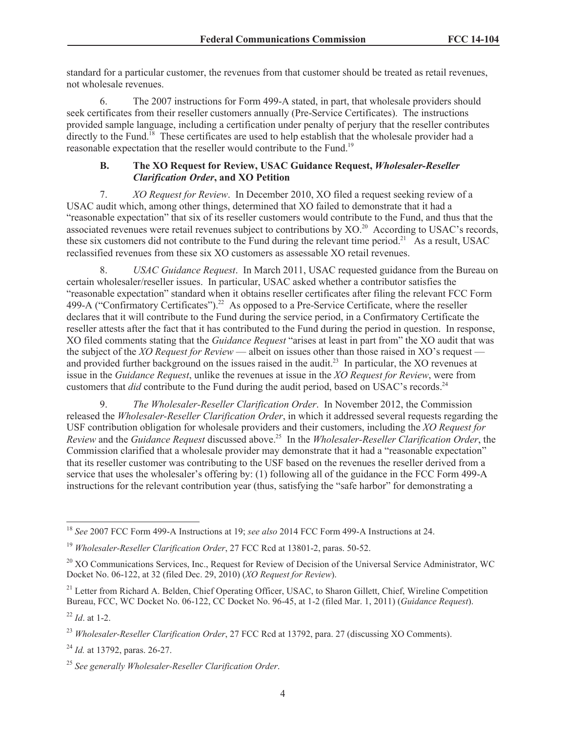standard for a particular customer, the revenues from that customer should be treated as retail revenues, not wholesale revenues.

6. The 2007 instructions for Form 499-A stated, in part, that wholesale providers should seek certificates from their reseller customers annually (Pre-Service Certificates). The instructions provided sample language, including a certification under penalty of perjury that the reseller contributes directly to the Fund.<sup>18</sup> These certificates are used to help establish that the wholesale provider had a reasonable expectation that the reseller would contribute to the Fund.<sup>19</sup>

#### **B. The XO Request for Review, USAC Guidance Request,** *Wholesaler-Reseller Clarification Order***, and XO Petition**

7. *XO Request for Review*. In December 2010, XO filed a request seeking review of a USAC audit which, among other things, determined that XO failed to demonstrate that it had a "reasonable expectation" that six of its reseller customers would contribute to the Fund, and thus that the associated revenues were retail revenues subject to contributions by XO.<sup>20</sup> According to USAC's records, these six customers did not contribute to the Fund during the relevant time period.<sup>21</sup> As a result, USAC reclassified revenues from these six XO customers as assessable XO retail revenues.

8. *USAC Guidance Request*. In March 2011, USAC requested guidance from the Bureau on certain wholesaler/reseller issues. In particular, USAC asked whether a contributor satisfies the "reasonable expectation" standard when it obtains reseller certificates after filing the relevant FCC Form 499-A ("Confirmatory Certificates").<sup>22</sup> As opposed to a Pre-Service Certificate, where the reseller declares that it will contribute to the Fund during the service period, in a Confirmatory Certificate the reseller attests after the fact that it has contributed to the Fund during the period in question. In response, XO filed comments stating that the *Guidance Request* "arises at least in part from" the XO audit that was the subject of the *XO Request for Review* — albeit on issues other than those raised in XO's request and provided further background on the issues raised in the audit.<sup>23</sup> In particular, the XO revenues at issue in the *Guidance Request*, unlike the revenues at issue in the *XO Request for Review*, were from customers that *did* contribute to the Fund during the audit period, based on USAC's records.<sup>24</sup>

9. *The Wholesaler-Reseller Clarification Order*. In November 2012, the Commission released the *Wholesaler-Reseller Clarification Order*, in which it addressed several requests regarding the USF contribution obligation for wholesale providers and their customers, including the *XO Request for Review* and the *Guidance Request* discussed above.<sup>25</sup> In the *Wholesaler-Reseller Clarification Order*, the Commission clarified that a wholesale provider may demonstrate that it had a "reasonable expectation" that its reseller customer was contributing to the USF based on the revenues the reseller derived from a service that uses the wholesaler's offering by: (1) following all of the guidance in the FCC Form 499-A instructions for the relevant contribution year (thus, satisfying the "safe harbor" for demonstrating a

<sup>18</sup> *See* 2007 FCC Form 499-A Instructions at 19; *see also* 2014 FCC Form 499-A Instructions at 24.

<sup>19</sup> *Wholesaler-Reseller Clarification Order*, 27 FCC Rcd at 13801-2, paras. 50-52.

<sup>&</sup>lt;sup>20</sup> XO Communications Services, Inc., Request for Review of Decision of the Universal Service Administrator, WC Docket No. 06-122, at 32 (filed Dec. 29, 2010) (*XO Request for Review*).

<sup>&</sup>lt;sup>21</sup> Letter from Richard A. Belden, Chief Operating Officer, USAC, to Sharon Gillett, Chief, Wireline Competition Bureau, FCC, WC Docket No. 06-122, CC Docket No. 96-45, at 1-2 (filed Mar. 1, 2011) (*Guidance Request*).

<sup>22</sup> *Id*. at 1-2.

<sup>23</sup> *Wholesaler-Reseller Clarification Order*, 27 FCC Rcd at 13792, para. 27 (discussing XO Comments).

<sup>24</sup> *Id.* at 13792, paras. 26-27.

<sup>25</sup> *See generally Wholesaler-Reseller Clarification Order*.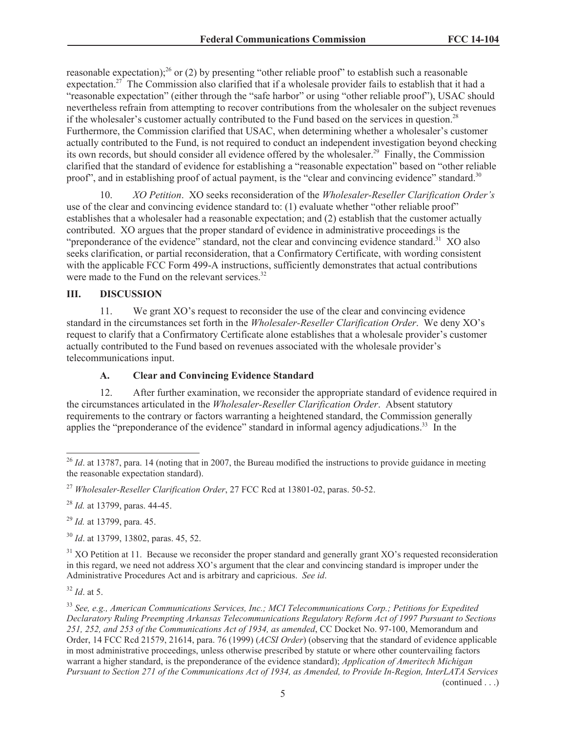reasonable expectation);<sup>26</sup> or (2) by presenting "other reliable proof" to establish such a reasonable expectation.<sup>27</sup> The Commission also clarified that if a wholesale provider fails to establish that it had a "reasonable expectation" (either through the "safe harbor" or using "other reliable proof"), USAC should nevertheless refrain from attempting to recover contributions from the wholesaler on the subject revenues if the wholesaler's customer actually contributed to the Fund based on the services in question.<sup>28</sup> Furthermore, the Commission clarified that USAC, when determining whether a wholesaler's customer actually contributed to the Fund, is not required to conduct an independent investigation beyond checking its own records, but should consider all evidence offered by the wholesaler.<sup>29</sup> Finally, the Commission clarified that the standard of evidence for establishing a "reasonable expectation" based on "other reliable proof", and in establishing proof of actual payment, is the "clear and convincing evidence" standard.<sup>30</sup>

10. *XO Petition*. XO seeks reconsideration of the *Wholesaler-Reseller Clarification Order's* use of the clear and convincing evidence standard to: (1) evaluate whether "other reliable proof" establishes that a wholesaler had a reasonable expectation; and (2) establish that the customer actually contributed. XO argues that the proper standard of evidence in administrative proceedings is the "preponderance of the evidence" standard, not the clear and convincing evidence standard.<sup>31</sup> XO also seeks clarification, or partial reconsideration, that a Confirmatory Certificate, with wording consistent with the applicable FCC Form 499-A instructions, sufficiently demonstrates that actual contributions were made to the Fund on the relevant services.<sup>32</sup>

## **III. DISCUSSION**

11. We grant XO's request to reconsider the use of the clear and convincing evidence standard in the circumstances set forth in the *Wholesaler-Reseller Clarification Order*. We deny XO's request to clarify that a Confirmatory Certificate alone establishes that a wholesale provider's customer actually contributed to the Fund based on revenues associated with the wholesale provider's telecommunications input.

# **A. Clear and Convincing Evidence Standard**

12. After further examination, we reconsider the appropriate standard of evidence required in the circumstances articulated in the *Wholesaler-Reseller Clarification Order*. Absent statutory requirements to the contrary or factors warranting a heightened standard, the Commission generally applies the "preponderance of the evidence" standard in informal agency adjudications.<sup>33</sup> In the

<sup>29</sup> *Id.* at 13799, para. 45.

<sup>30</sup> *Id*. at 13799, 13802, paras. 45, 52.

<sup>31</sup> XO Petition at 11. Because we reconsider the proper standard and generally grant XO's requested reconsideration in this regard, we need not address XO's argument that the clear and convincing standard is improper under the Administrative Procedures Act and is arbitrary and capricious. *See id*.

<sup>32</sup> *Id*. at 5.

<sup>33</sup> *See, e.g., American Communications Services, Inc.; MCI Telecommunications Corp.; Petitions for Expedited Declaratory Ruling Preempting Arkansas Telecommunications Regulatory Reform Act of 1997 Pursuant to Sections 251, 252, and 253 of the Communications Act of 1934, as amended*, CC Docket No. 97-100, Memorandum and Order, 14 FCC Rcd 21579, 21614, para. 76 (1999) (*ACSI Order*) (observing that the standard of evidence applicable in most administrative proceedings, unless otherwise prescribed by statute or where other countervailing factors warrant a higher standard, is the preponderance of the evidence standard); *Application of Ameritech Michigan Pursuant to Section 271 of the Communications Act of 1934, as Amended, to Provide In-Region, InterLATA Services* 

(continued . . .)

 $^{26}$  *Id.* at 13787, para. 14 (noting that in 2007, the Bureau modified the instructions to provide guidance in meeting the reasonable expectation standard).

<sup>27</sup> *Wholesaler-Reseller Clarification Order*, 27 FCC Rcd at 13801-02, paras. 50-52.

<sup>28</sup> *Id.* at 13799, paras. 44-45.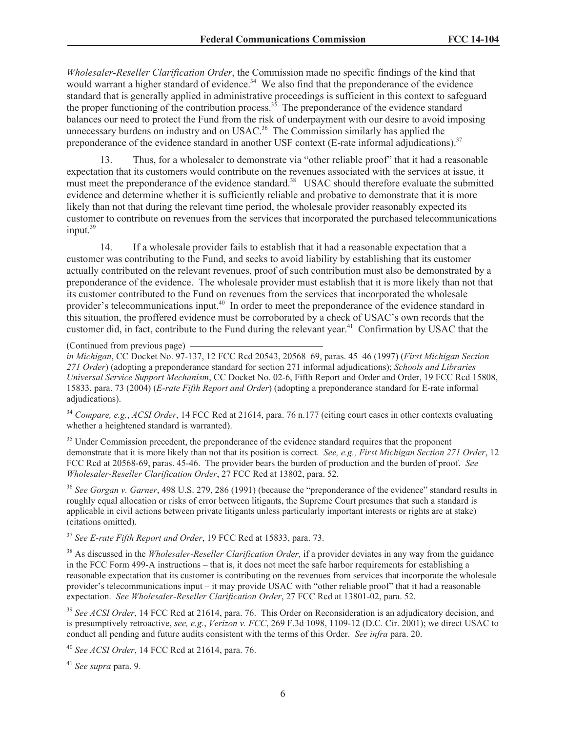*Wholesaler-Reseller Clarification Order*, the Commission made no specific findings of the kind that would warrant a higher standard of evidence.<sup>34</sup> We also find that the preponderance of the evidence standard that is generally applied in administrative proceedings is sufficient in this context to safeguard the proper functioning of the contribution process.<sup>35</sup> The preponderance of the evidence standard balances our need to protect the Fund from the risk of underpayment with our desire to avoid imposing unnecessary burdens on industry and on USAC.<sup>36</sup> The Commission similarly has applied the preponderance of the evidence standard in another USF context (E-rate informal adjudications).<sup>37</sup>

13. Thus, for a wholesaler to demonstrate via "other reliable proof" that it had a reasonable expectation that its customers would contribute on the revenues associated with the services at issue, it must meet the preponderance of the evidence standard.<sup>38</sup> USAC should therefore evaluate the submitted evidence and determine whether it is sufficiently reliable and probative to demonstrate that it is more likely than not that during the relevant time period, the wholesale provider reasonably expected its customer to contribute on revenues from the services that incorporated the purchased telecommunications  $input.<sup>39</sup>$ 

14. If a wholesale provider fails to establish that it had a reasonable expectation that a customer was contributing to the Fund, and seeks to avoid liability by establishing that its customer actually contributed on the relevant revenues, proof of such contribution must also be demonstrated by a preponderance of the evidence. The wholesale provider must establish that it is more likely than not that its customer contributed to the Fund on revenues from the services that incorporated the wholesale provider's telecommunications input.<sup>40</sup> In order to meet the preponderance of the evidence standard in this situation, the proffered evidence must be corroborated by a check of USAC's own records that the customer did, in fact, contribute to the Fund during the relevant year.<sup>41</sup> Confirmation by USAC that the

(Continued from previous page)

*in Michigan*, CC Docket No. 97-137, 12 FCC Rcd 20543, 20568–69, paras. 45–46 (1997) (*First Michigan Section 271 Order*) (adopting a preponderance standard for section 271 informal adjudications); *Schools and Libraries Universal Service Support Mechanism*, CC Docket No. 02-6, Fifth Report and Order and Order, 19 FCC Rcd 15808, 15833, para. 73 (2004) (*E-rate Fifth Report and Order*) (adopting a preponderance standard for E-rate informal adjudications).

<sup>34</sup> *Compare, e.g.*, *ACSI Order*, 14 FCC Rcd at 21614, para. 76 n.177 (citing court cases in other contexts evaluating whether a heightened standard is warranted).

<sup>35</sup> Under Commission precedent, the preponderance of the evidence standard requires that the proponent demonstrate that it is more likely than not that its position is correct. *See, e.g., First Michigan Section 271 Order*, 12 FCC Rcd at 20568-69, paras. 45-46. The provider bears the burden of production and the burden of proof. *See Wholesaler-Reseller Clarification Order*, 27 FCC Rcd at 13802, para. 52.

<sup>36</sup> *See Gorgan v. Garner*, 498 U.S. 279, 286 (1991) (because the "preponderance of the evidence" standard results in roughly equal allocation or risks of error between litigants, the Supreme Court presumes that such a standard is applicable in civil actions between private litigants unless particularly important interests or rights are at stake) (citations omitted).

<sup>37</sup> *See E-rate Fifth Report and Order*, 19 FCC Rcd at 15833, para. 73.

<sup>38</sup> As discussed in the *Wholesaler-Reseller Clarification Order,* if a provider deviates in any way from the guidance in the FCC Form 499-A instructions – that is, it does not meet the safe harbor requirements for establishing a reasonable expectation that its customer is contributing on the revenues from services that incorporate the wholesale provider's telecommunications input – it may provide USAC with "other reliable proof" that it had a reasonable expectation. *See Wholesaler-Reseller Clarification Order*, 27 FCC Rcd at 13801-02, para. 52.

<sup>39</sup> See ACSI Order, 14 FCC Rcd at 21614, para. 76. This Order on Reconsideration is an adjudicatory decision, and is presumptively retroactive, *see, e.g.*, *Verizon v. FCC*, 269 F.3d 1098, 1109-12 (D.C. Cir. 2001); we direct USAC to conduct all pending and future audits consistent with the terms of this Order. *See infra* para. 20.

<sup>40</sup> *See ACSI Order*, 14 FCC Rcd at 21614, para. 76.

<sup>41</sup> *See supra* para. 9.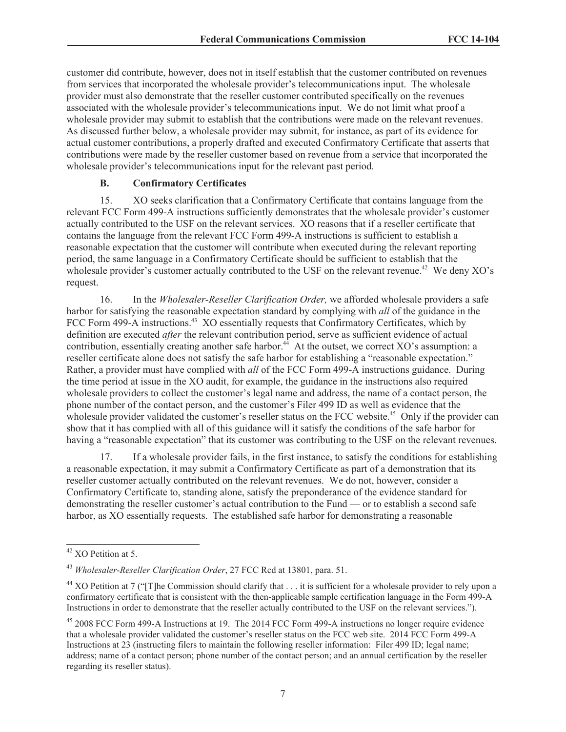customer did contribute, however, does not in itself establish that the customer contributed on revenues from services that incorporated the wholesale provider's telecommunications input. The wholesale provider must also demonstrate that the reseller customer contributed specifically on the revenues associated with the wholesale provider's telecommunications input. We do not limit what proof a wholesale provider may submit to establish that the contributions were made on the relevant revenues. As discussed further below, a wholesale provider may submit, for instance, as part of its evidence for actual customer contributions, a properly drafted and executed Confirmatory Certificate that asserts that contributions were made by the reseller customer based on revenue from a service that incorporated the wholesale provider's telecommunications input for the relevant past period.

#### **B. Confirmatory Certificates**

15. XO seeks clarification that a Confirmatory Certificate that contains language from the relevant FCC Form 499-A instructions sufficiently demonstrates that the wholesale provider's customer actually contributed to the USF on the relevant services. XO reasons that if a reseller certificate that contains the language from the relevant FCC Form 499-A instructions is sufficient to establish a reasonable expectation that the customer will contribute when executed during the relevant reporting period, the same language in a Confirmatory Certificate should be sufficient to establish that the wholesale provider's customer actually contributed to the USF on the relevant revenue.<sup>42</sup> We deny XO's request.

16. In the *Wholesaler-Reseller Clarification Order,* we afforded wholesale providers a safe harbor for satisfying the reasonable expectation standard by complying with *all* of the guidance in the FCC Form 499-A instructions.<sup>43</sup> XO essentially requests that Confirmatory Certificates, which by definition are executed *after* the relevant contribution period, serve as sufficient evidence of actual contribution, essentially creating another safe harbor.<sup>44</sup> At the outset, we correct XO's assumption: a reseller certificate alone does not satisfy the safe harbor for establishing a "reasonable expectation." Rather, a provider must have complied with *all* of the FCC Form 499-A instructions guidance. During the time period at issue in the XO audit, for example, the guidance in the instructions also required wholesale providers to collect the customer's legal name and address, the name of a contact person, the phone number of the contact person, and the customer's Filer 499 ID as well as evidence that the wholesale provider validated the customer's reseller status on the FCC website.<sup>45</sup> Only if the provider can show that it has complied with all of this guidance will it satisfy the conditions of the safe harbor for having a "reasonable expectation" that its customer was contributing to the USF on the relevant revenues.

17. If a wholesale provider fails, in the first instance, to satisfy the conditions for establishing a reasonable expectation, it may submit a Confirmatory Certificate as part of a demonstration that its reseller customer actually contributed on the relevant revenues. We do not, however, consider a Confirmatory Certificate to, standing alone, satisfy the preponderance of the evidence standard for demonstrating the reseller customer's actual contribution to the Fund — or to establish a second safe harbor, as XO essentially requests. The established safe harbor for demonstrating a reasonable

<sup>42</sup> XO Petition at 5.

<sup>43</sup> *Wholesaler-Reseller Clarification Order*, 27 FCC Rcd at 13801, para. 51.

<sup>&</sup>lt;sup>44</sup> XO Petition at 7 ("I The Commission should clarify that  $\ldots$  it is sufficient for a wholesale provider to rely upon a confirmatory certificate that is consistent with the then-applicable sample certification language in the Form 499-A Instructions in order to demonstrate that the reseller actually contributed to the USF on the relevant services.").

<sup>&</sup>lt;sup>45</sup> 2008 FCC Form 499-A Instructions at 19. The 2014 FCC Form 499-A instructions no longer require evidence that a wholesale provider validated the customer's reseller status on the FCC web site. 2014 FCC Form 499-A Instructions at 23 (instructing filers to maintain the following reseller information: Filer 499 ID; legal name; address; name of a contact person; phone number of the contact person; and an annual certification by the reseller regarding its reseller status).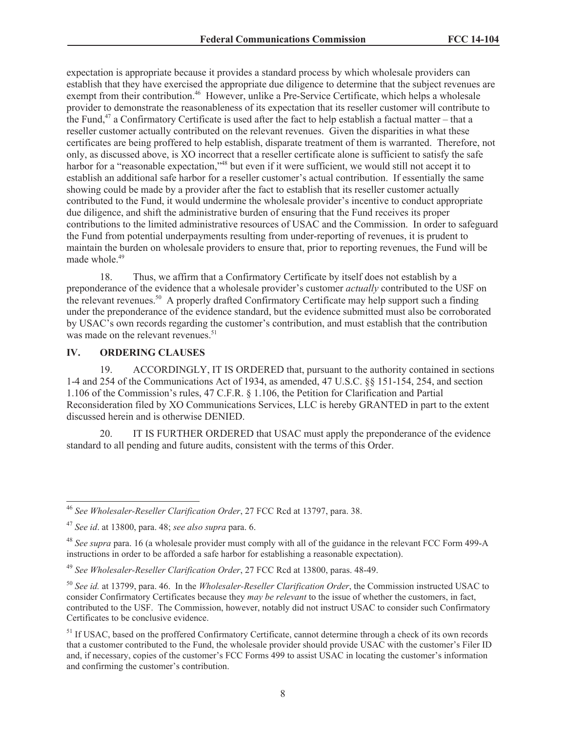expectation is appropriate because it provides a standard process by which wholesale providers can establish that they have exercised the appropriate due diligence to determine that the subject revenues are exempt from their contribution.<sup>46</sup> However, unlike a Pre-Service Certificate, which helps a wholesale provider to demonstrate the reasonableness of its expectation that its reseller customer will contribute to the Fund,<sup>47</sup> a Confirmatory Certificate is used after the fact to help establish a factual matter – that a reseller customer actually contributed on the relevant revenues. Given the disparities in what these certificates are being proffered to help establish, disparate treatment of them is warranted. Therefore, not only, as discussed above, is XO incorrect that a reseller certificate alone is sufficient to satisfy the safe harbor for a "reasonable expectation,"<sup>48</sup> but even if it were sufficient, we would still not accept it to establish an additional safe harbor for a reseller customer's actual contribution. If essentially the same showing could be made by a provider after the fact to establish that its reseller customer actually contributed to the Fund, it would undermine the wholesale provider's incentive to conduct appropriate due diligence, and shift the administrative burden of ensuring that the Fund receives its proper contributions to the limited administrative resources of USAC and the Commission. In order to safeguard the Fund from potential underpayments resulting from under-reporting of revenues, it is prudent to maintain the burden on wholesale providers to ensure that, prior to reporting revenues, the Fund will be made whole.<sup>49</sup>

18. Thus, we affirm that a Confirmatory Certificate by itself does not establish by a preponderance of the evidence that a wholesale provider's customer *actually* contributed to the USF on the relevant revenues.<sup>50</sup> A properly drafted Confirmatory Certificate may help support such a finding under the preponderance of the evidence standard, but the evidence submitted must also be corroborated by USAC's own records regarding the customer's contribution, and must establish that the contribution was made on the relevant revenues.<sup>51</sup>

## **IV. ORDERING CLAUSES**

19. ACCORDINGLY, IT IS ORDERED that, pursuant to the authority contained in sections 1-4 and 254 of the Communications Act of 1934, as amended, 47 U.S.C. §§ 151-154, 254, and section 1.106 of the Commission's rules, 47 C.F.R. § 1.106, the Petition for Clarification and Partial Reconsideration filed by XO Communications Services, LLC is hereby GRANTED in part to the extent discussed herein and is otherwise DENIED.

20. IT IS FURTHER ORDERED that USAC must apply the preponderance of the evidence standard to all pending and future audits, consistent with the terms of this Order.

<sup>46</sup> *See Wholesaler-Reseller Clarification Order*, 27 FCC Rcd at 13797, para. 38.

<sup>47</sup> *See id*. at 13800, para. 48; *see also supra* para. 6.

<sup>48</sup> *See supra* para. 16 (a wholesale provider must comply with all of the guidance in the relevant FCC Form 499-A instructions in order to be afforded a safe harbor for establishing a reasonable expectation).

<sup>49</sup> *See Wholesaler-Reseller Clarification Order*, 27 FCC Rcd at 13800, paras. 48-49.

<sup>50</sup> *See id.* at 13799, para. 46. In the *Wholesaler-Reseller Clarification Order*, the Commission instructed USAC to consider Confirmatory Certificates because they *may be relevant* to the issue of whether the customers, in fact, contributed to the USF. The Commission, however, notably did not instruct USAC to consider such Confirmatory Certificates to be conclusive evidence.

<sup>&</sup>lt;sup>51</sup> If USAC, based on the proffered Confirmatory Certificate, cannot determine through a check of its own records that a customer contributed to the Fund, the wholesale provider should provide USAC with the customer's Filer ID and, if necessary, copies of the customer's FCC Forms 499 to assist USAC in locating the customer's information and confirming the customer's contribution.